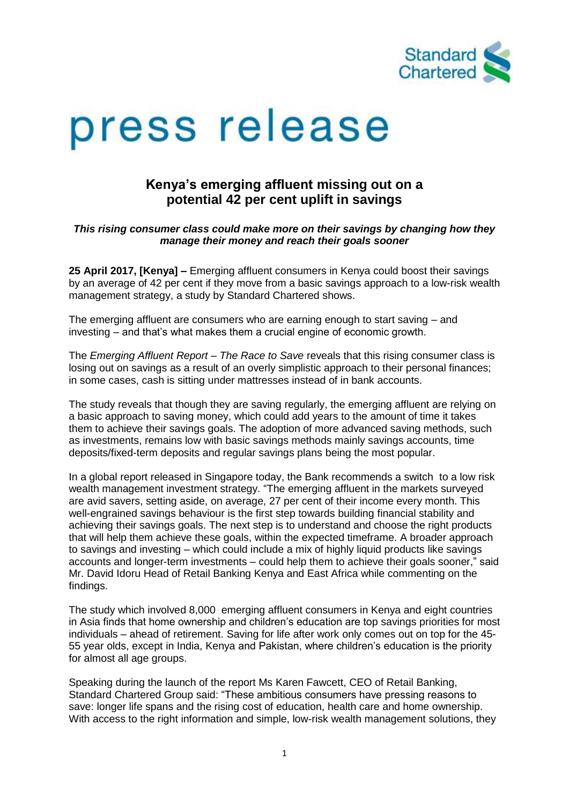

# press release

## **Kenya's emerging affluent missing out on a potential 42 per cent uplift in savings**

#### *This rising consumer class could make more on their savings by changing how they manage their money and reach their goals sooner*

**25 April 2017, [Kenya] –** Emerging affluent consumers in Kenya could boost their savings by an average of 42 per cent if they move from a basic savings approach to a low-risk wealth management strategy, a study by Standard Chartered shows.

The emerging affluent are consumers who are earning enough to start saving – and investing – and that's what makes them a crucial engine of economic growth.

The *Emerging Affluent Report – The Race to Save* reveals that this rising consumer class is losing out on savings as a result of an overly simplistic approach to their personal finances; in some cases, cash is sitting under mattresses instead of in bank accounts.

The study reveals that though they are saving regularly, the emerging affluent are relying on a basic approach to saving money, which could add years to the amount of time it takes them to achieve their savings goals. The adoption of more advanced saving methods, such as investments, remains low with basic savings methods mainly savings accounts, time deposits/fixed-term deposits and regular savings plans being the most popular.

In a global report released in Singapore today, the Bank recommends a switch to a low risk wealth management investment strategy. "The emerging affluent in the markets surveyed are avid savers, setting aside, on average, 27 per cent of their income every month. This well-engrained savings behaviour is the first step towards building financial stability and achieving their savings goals. The next step is to understand and choose the right products that will help them achieve these goals, within the expected timeframe. A broader approach to savings and investing – which could include a mix of highly liquid products like savings accounts and longer-term investments – could help them to achieve their goals sooner," said Mr. David Idoru Head of Retail Banking Kenya and East Africa while commenting on the findings.

The study which involved 8,000 emerging affluent consumers in Kenya and eight countries in Asia finds that home ownership and children's education are top savings priorities for most individuals – ahead of retirement. Saving for life after work only comes out on top for the 45- 55 year olds, except in India, Kenya and Pakistan, where children's education is the priority for almost all age groups.

Speaking during the launch of the report Ms Karen Fawcett, CEO of Retail Banking, Standard Chartered Group said: "These ambitious consumers have pressing reasons to save: longer life spans and the rising cost of education, health care and home ownership. With access to the right information and simple, low-risk wealth management solutions, they